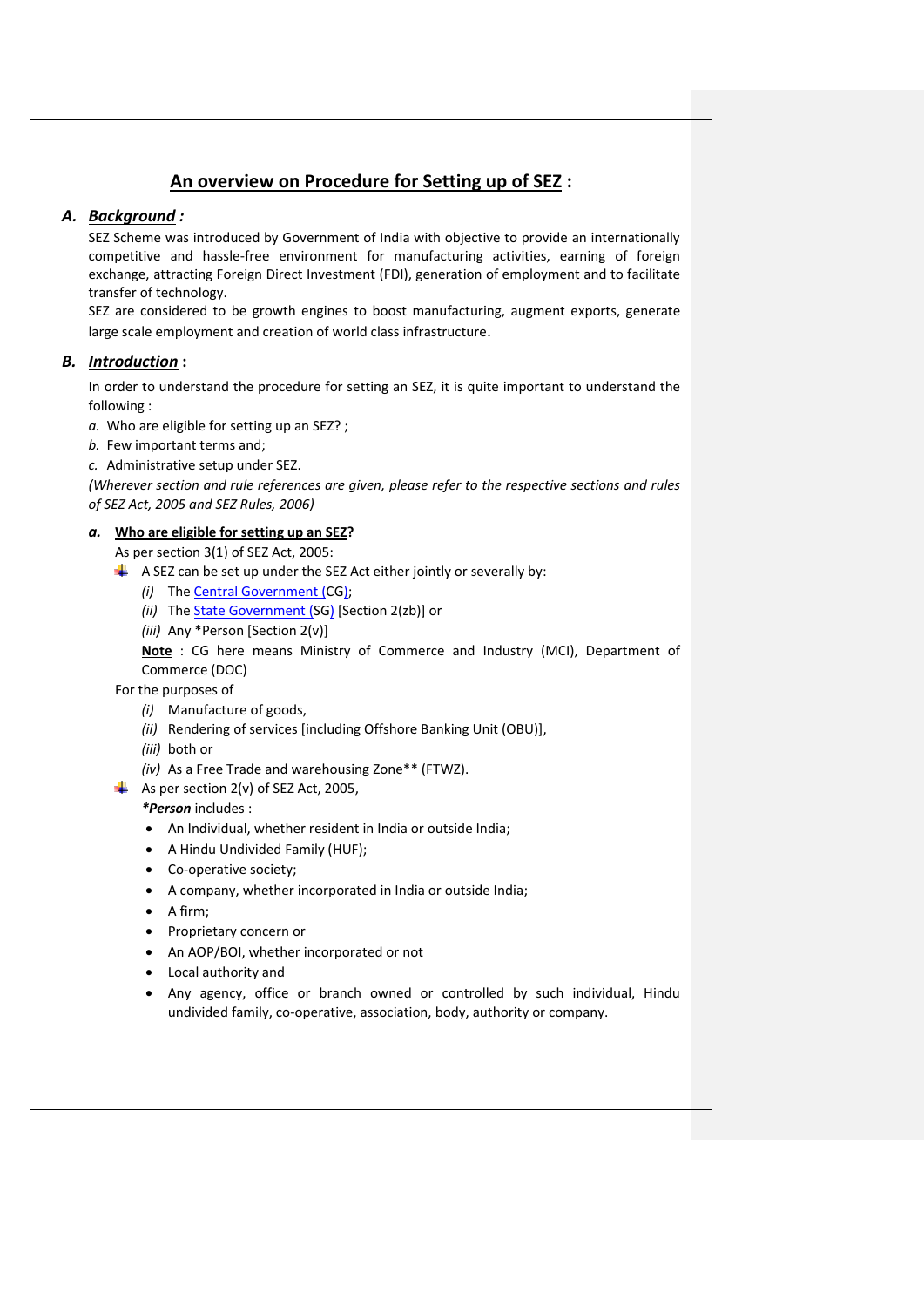# **An overview on Procedure for Setting up of SEZ :**

# *A. Background :*

SEZ Scheme was introduced by Government of India with objective to provide an internationally competitive and hassle-free environment for manufacturing activities, earning of foreign exchange, attracting Foreign Direct Investment (FDI), generation of employment and to facilitate transfer of technology.

SEZ are considered to be growth engines to boost manufacturing, augment exports, generate large scale employment and creation of world class infrastructure.

# *B. Introduction* **:**

In order to understand the procedure for setting an SEZ, it is quite important to understand the following :

*a.* Who are eligible for setting up an SEZ? ;

*b.* Few important terms and;

*c.* Administrative setup under SEZ.

*(Wherever section and rule references are given, please refer to the respective sections and rules of SEZ Act, 2005 and SEZ Rules, 2006)*

# *a.* **Who are eligible for setting up an SEZ?**

As per section 3(1) of SEZ Act, 2005:

- $\downarrow$  A SEZ can be set up under the SEZ Act either jointly or severally by:
	- *(i)* The Central Government (CG);
	- *(ii)* The State Government (SG) [Section 2(zb)] or
	- *(iii)* Any \*Person [Section 2(v)]

**Note** : CG here means Ministry of Commerce and Industry (MCI), Department of Commerce (DOC)

For the purposes of

- *(i)* Manufacture of goods,
- *(ii)* Rendering of services [including Offshore Banking Unit (OBU)],
- *(iii)* both or
- *(iv)* As a Free Trade and warehousing Zone\*\* (FTWZ).
- $\overline{\phantom{a}+}$  As per section 2(v) of SEZ Act, 2005,

*\*Person* includes :

- An Individual, whether resident in India or outside India;
- A Hindu Undivided Family (HUF);
- Co-operative society;
- A company, whether incorporated in India or outside India;
- $\bullet$  A firm:
- Proprietary concern or
- An AOP/BOI, whether incorporated or not
- Local authority and
- Any agency, office or branch owned or controlled by such individual, Hindu undivided family, co-operative, association, body, authority or company.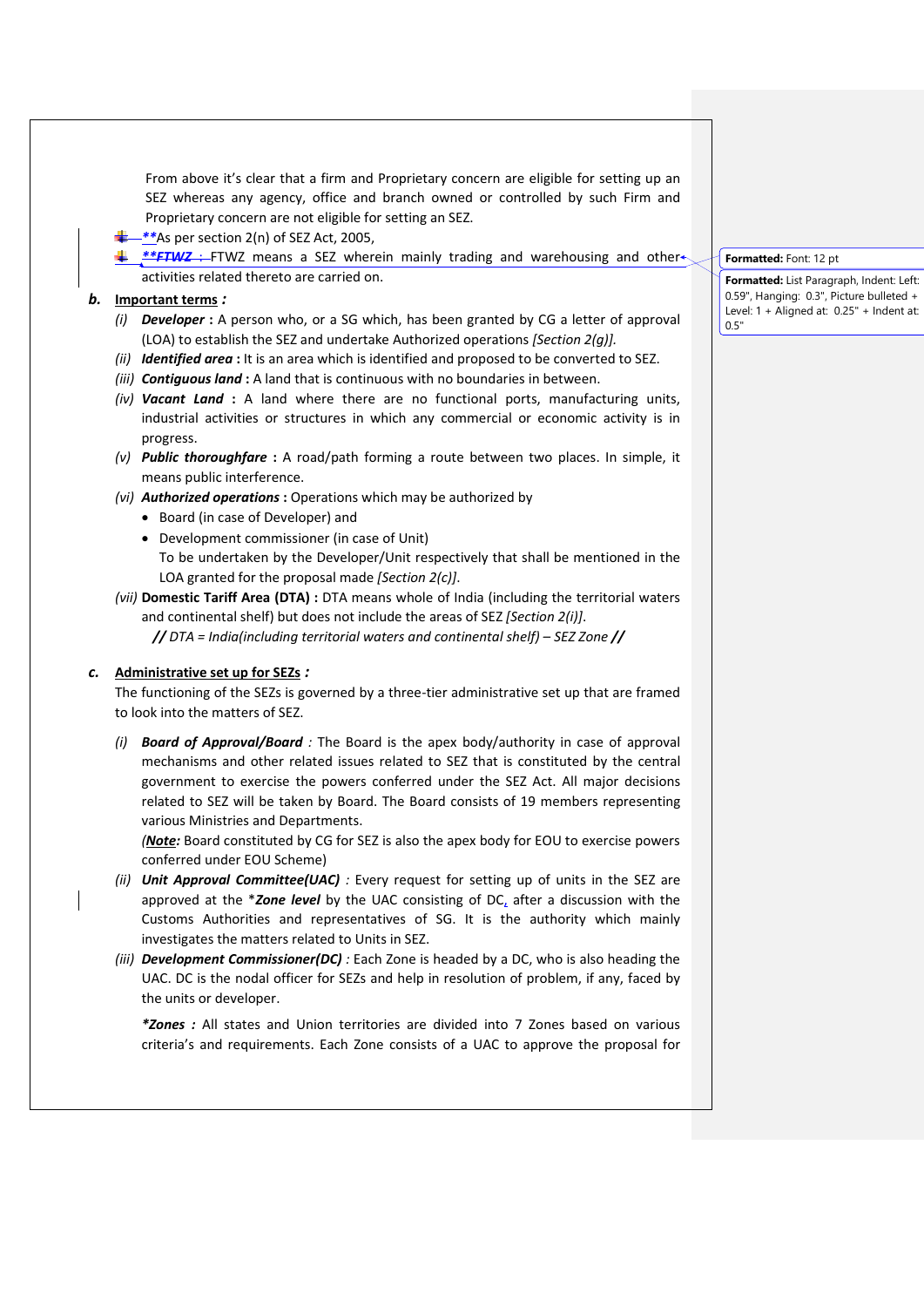From above it's clear that a firm and Proprietary concern are eligible for setting up an SEZ whereas any agency, office and branch owned or controlled by such Firm and Proprietary concern are not eligible for setting an SEZ.

- *\*\**As per section 2(n) of SEZ Act, 2005,
- *\*\*FTWZ* : FTWZ means a SEZ wherein mainly trading and warehousing and other activities related thereto are carried on.

### *b.* **Important terms** *:*

- *(i) Developer* **:** A person who, or a SG which, has been granted by CG a letter of approval (LOA) to establish the SEZ and undertake Authorized operations *[Section 2(g)].*
- *(ii) Identified area* : It is an area which is identified and proposed to be converted to SEZ.
- *(iii) Contiguous land* **:** A land that is continuous with no boundaries in between.
- *(iv) Vacant Land* **:** A land where there are no functional ports, manufacturing units, industrial activities or structures in which any commercial or economic activity is in progress.
- *(v) Public thoroughfare* **:** A road/path forming a route between two places. In simple, it means public interference.
- *(vi) Authorized operations* **:** Operations which may be authorized by
	- Board (in case of Developer) and
	- Development commissioner (in case of Unit)
	- To be undertaken by the Developer/Unit respectively that shall be mentioned in the LOA granted for the proposal made *[Section 2(c)]*.

*(vii)* **Domestic Tariff Area (DTA) :** DTA means whole of India (including the territorial waters and continental shelf) but does not include the areas of SEZ *[Section 2(i)]*.

*// DTA = India(including territorial waters and continental shelf) – SEZ Zone //*

#### *c.* **Administrative set up for SEZs** *:*

The functioning of the SEZs is governed by a three-tier administrative set up that are framed to look into the matters of SEZ.

*(i) Board of Approval/Board :* The Board is the apex body/authority in case of approval mechanisms and other related issues related to SEZ that is constituted by the central government to exercise the powers conferred under the SEZ Act. All major decisions related to SEZ will be taken by Board. The Board consists of 19 members representing various Ministries and Departments.

*(Note:* Board constituted by CG for SEZ is also the apex body for EOU to exercise powers conferred under EOU Scheme)

- *(ii) Unit Approval Committee(UAC) :* Every request for setting up of units in the SEZ are approved at the \**Zone level* by the UAC consisting of DC, after a discussion with the Customs Authorities and representatives of SG. It is the authority which mainly investigates the matters related to Units in SEZ.
- *(iii) Development Commissioner(DC) :* Each Zone is headed by a DC, who is also heading the UAC. DC is the nodal officer for SEZs and help in resolution of problem, if any, faced by the units or developer.

*\*Zones :* All states and Union territories are divided into 7 Zones based on various criteria's and requirements. Each Zone consists of a UAC to approve the proposal for

#### **Formatted:** Font: 12 pt

**Formatted:** List Paragraph, Indent: Left: 0.59", Hanging: 0.3", Picture bulleted + Level: 1 + Aligned at: 0.25" + Indent at: 0.5"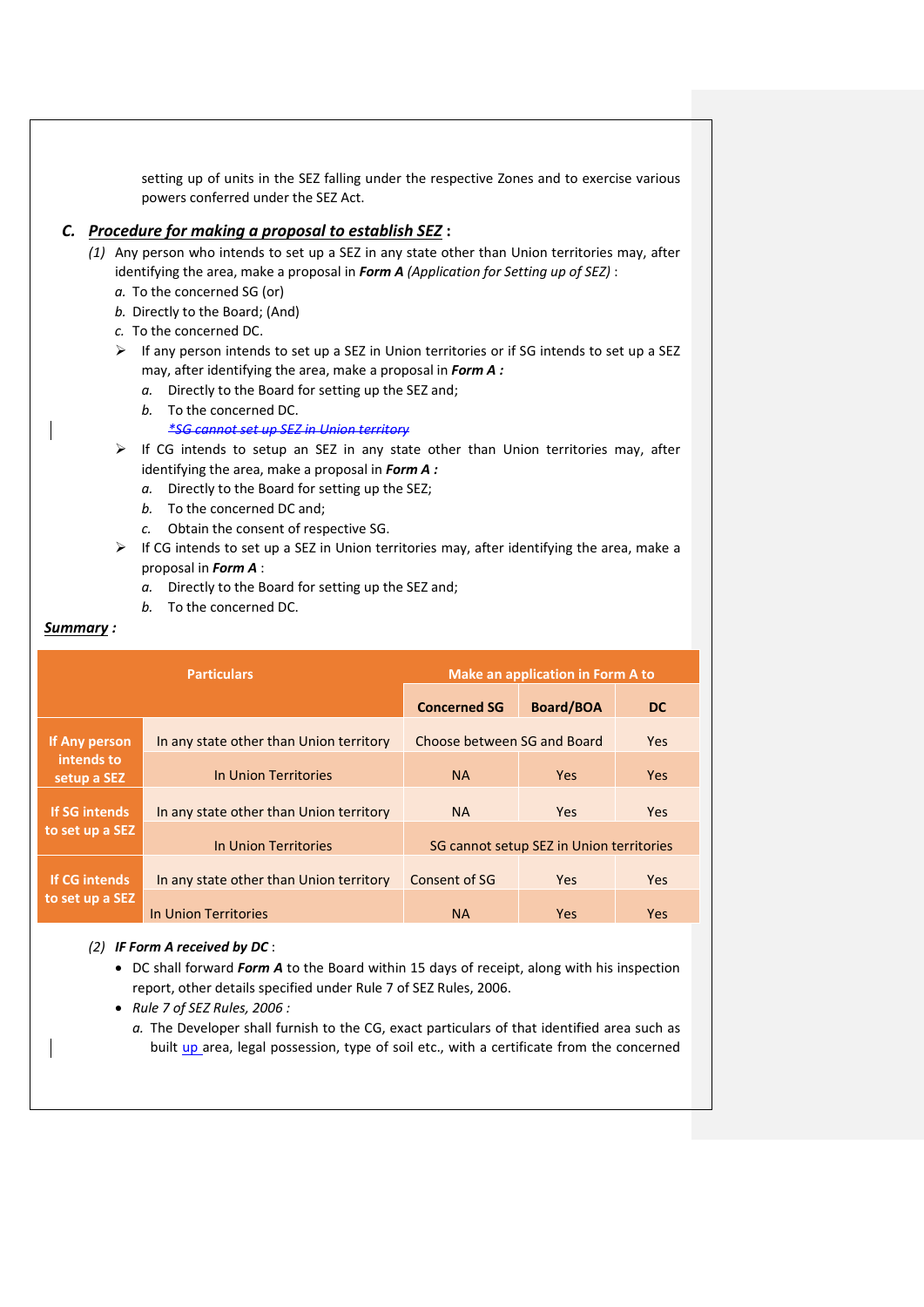setting up of units in the SEZ falling under the respective Zones and to exercise various powers conferred under the SEZ Act.

# *C. Procedure for making a proposal to establish SEZ* **:**

- *(1)* Any person who intends to set up a SEZ in any state other than Union territories may, after identifying the area, make a proposal in *Form A (Application for Setting up of SEZ)* :
	- *a.* To the concerned SG (or)
	- *b.* Directly to the Board; (And)
	- *c.* To the concerned DC.
	- $\triangleright$  If any person intends to set up a SEZ in Union territories or if SG intends to set up a SEZ may, after identifying the area, make a proposal in *Form A :*
		- *a.* Directly to the Board for setting up the SEZ and;
		- *b.* To the concerned DC. *\*SG cannot set up SEZ in Union territory*
	- $\triangleright$  If CG intends to setup an SEZ in any state other than Union territories may, after identifying the area, make a proposal in *Form A :*
		- *a.* Directly to the Board for setting up the SEZ;
		- *b.* To the concerned DC and;
		- *c.* Obtain the consent of respective SG.
	- $\triangleright$  If CG intends to set up a SEZ in Union territories may, after identifying the area, make a proposal in *Form A* :
		- *a.* Directly to the Board for setting up the SEZ and;
		- *b.* To the concerned DC.

#### *Summary :*

| <b>Particulars</b>        |                                         | <b>Make an application in Form A to</b>  |                  |            |
|---------------------------|-----------------------------------------|------------------------------------------|------------------|------------|
|                           |                                         | <b>Concerned SG</b>                      | <b>Board/BOA</b> | <b>DC</b>  |
| If Any person             | In any state other than Union territory | Choose between SG and Board              |                  | Yes        |
| intends to<br>setup a SEZ | In Union Territories                    | <b>NA</b>                                | <b>Yes</b>       | <b>Yes</b> |
| If SG intends             | In any state other than Union territory | <b>NA</b>                                | <b>Yes</b>       | Yes        |
| to set up a SEZ           | In Union Territories                    | SG cannot setup SEZ in Union territories |                  |            |
| <b>If CG intends</b>      | In any state other than Union territory | Consent of SG                            | <b>Yes</b>       | <b>Yes</b> |
| to set up a SEZ           | In Union Territories                    | <b>NA</b>                                | <b>Yes</b>       | Yes        |

### *(2) IF Form A received by DC* :

- DC shall forward *Form A* to the Board within 15 days of receipt, along with his inspection report, other details specified under Rule 7 of SEZ Rules, 2006.
- *Rule 7 of SEZ Rules, 2006 :* 
	- *a.* The Developer shall furnish to the CG, exact particulars of that identified area such as built up area, legal possession, type of soil etc., with a certificate from the concerned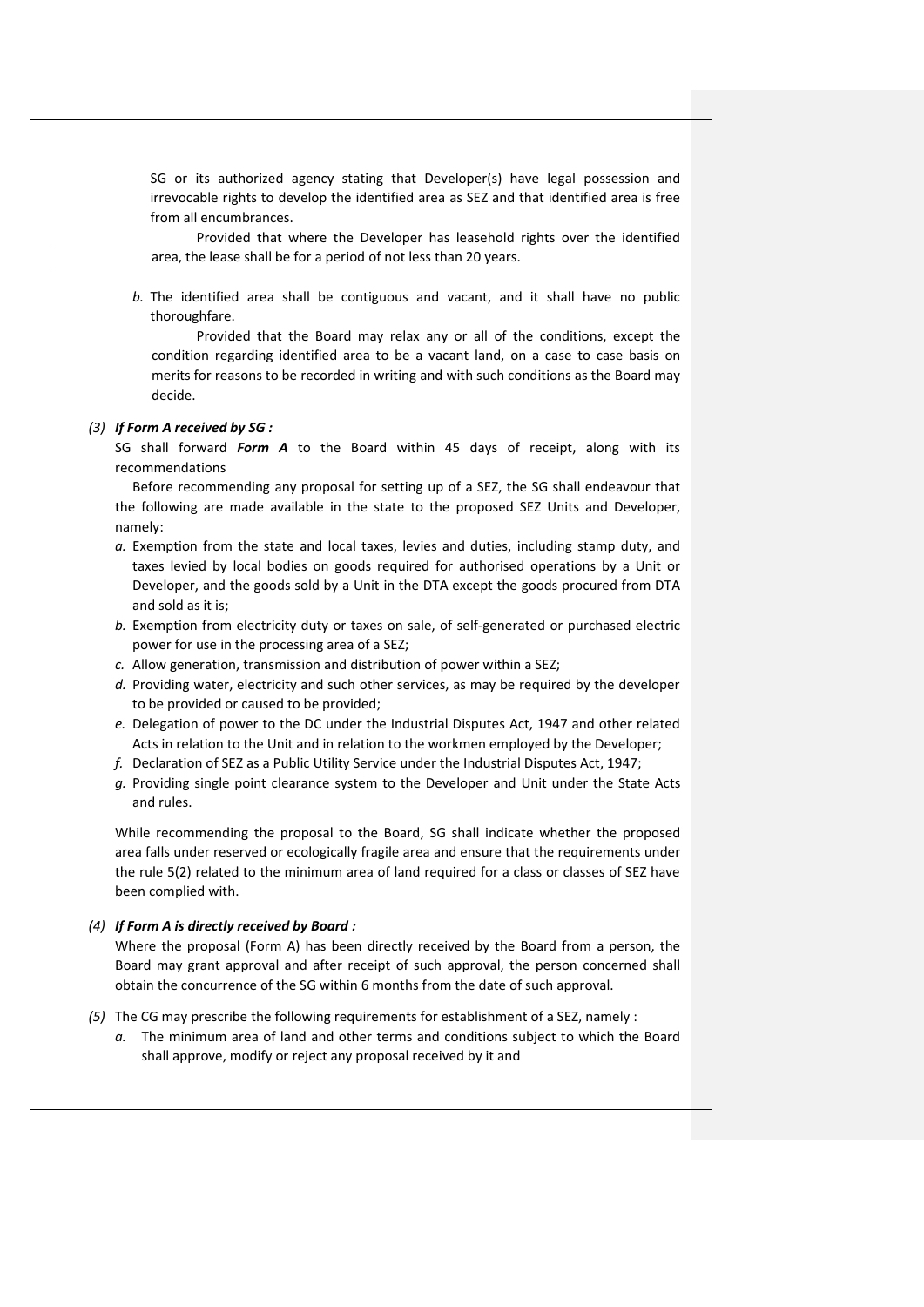SG or its authorized agency stating that Developer(s) have legal possession and irrevocable rights to develop the identified area as SEZ and that identified area is free from all encumbrances.

Provided that where the Developer has leasehold rights over the identified area, the lease shall be for a period of not less than 20 years.

*b.* The identified area shall be contiguous and vacant, and it shall have no public thoroughfare.

Provided that the Board may relax any or all of the conditions, except the condition regarding identified area to be a vacant land, on a case to case basis on merits for reasons to be recorded in writing and with such conditions as the Board may decide.

#### *(3) If Form A received by SG :*

SG shall forward *Form A* to the Board within 45 days of receipt, along with its recommendations

Before recommending any proposal for setting up of a SEZ, the SG shall endeavour that the following are made available in the state to the proposed SEZ Units and Developer, namely:

- *a.* Exemption from the state and local taxes, levies and duties, including stamp duty, and taxes levied by local bodies on goods required for authorised operations by a Unit or Developer, and the goods sold by a Unit in the DTA except the goods procured from DTA and sold as it is;
- *b.* Exemption from electricity duty or taxes on sale, of self-generated or purchased electric power for use in the processing area of a SEZ;
- *c.* Allow generation, transmission and distribution of power within a SEZ;
- *d.* Providing water, electricity and such other services, as may be required by the developer to be provided or caused to be provided;
- *e.* Delegation of power to the DC under the Industrial Disputes Act, 1947 and other related Acts in relation to the Unit and in relation to the workmen employed by the Developer;
- *f.* Declaration of SEZ as a Public Utility Service under the Industrial Disputes Act, 1947;
- *g.* Providing single point clearance system to the Developer and Unit under the State Acts and rules.

While recommending the proposal to the Board, SG shall indicate whether the proposed area falls under reserved or ecologically fragile area and ensure that the requirements under the rule 5(2) related to the minimum area of land required for a class or classes of SEZ have been complied with.

#### *(4) If Form A is directly received by Board :*

Where the proposal (Form A) has been directly received by the Board from a person, the Board may grant approval and after receipt of such approval, the person concerned shall obtain the concurrence of the SG within 6 months from the date of such approval.

- *(5)* The CG may prescribe the following requirements for establishment of a SEZ, namely :
	- *a.* The minimum area of land and other terms and conditions subject to which the Board shall approve, modify or reject any proposal received by it and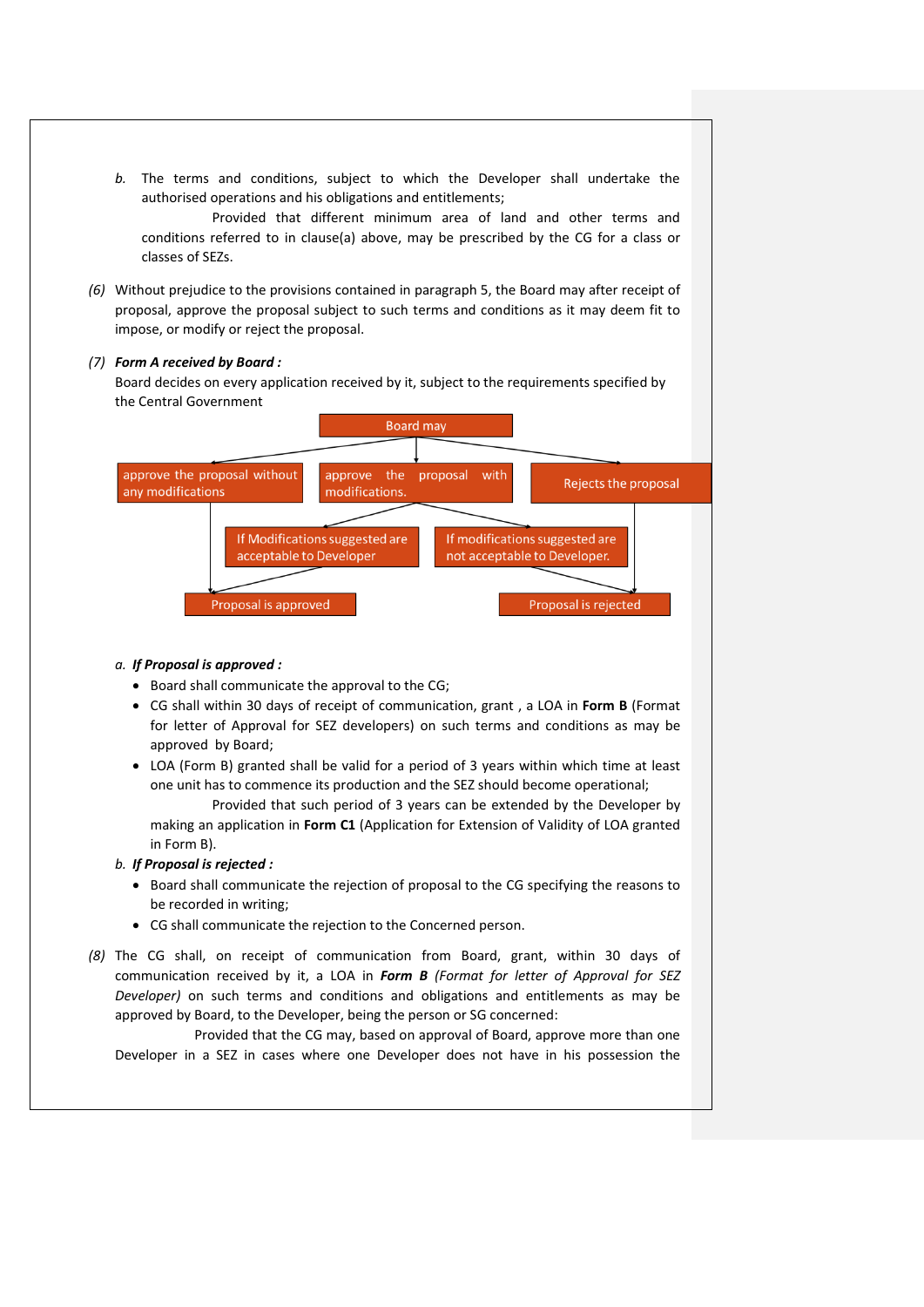*b.* The terms and conditions, subject to which the Developer shall undertake the authorised operations and his obligations and entitlements;

Provided that different minimum area of land and other terms and conditions referred to in clause(a) above, may be prescribed by the CG for a class or classes of SEZs.

*(6)* Without prejudice to the provisions contained in paragraph 5, the Board may after receipt of proposal, approve the proposal subject to such terms and conditions as it may deem fit to impose, or modify or reject the proposal.

#### *(7) Form A received by Board :*

Board decides on every application received by it, subject to the requirements specified by the Central Government



### *a. If Proposal is approved :*

- Board shall communicate the approval to the CG;
- CG shall within 30 days of receipt of communication, grant , a LOA in **Form B** (Format for letter of Approval for SEZ developers) on such terms and conditions as may be approved by Board;
- LOA (Form B) granted shall be valid for a period of 3 years within which time at least one unit has to commence its production and the SEZ should become operational;

Provided that such period of 3 years can be extended by the Developer by making an application in **Form C1** (Application for Extension of Validity of LOA granted in Form B).

### *b. If Proposal is rejected :*

- Board shall communicate the rejection of proposal to the CG specifying the reasons to be recorded in writing;
- CG shall communicate the rejection to the Concerned person.
- *(8)* The CG shall, on receipt of communication from Board, grant, within 30 days of communication received by it, a LOA in *Form B (Format for letter of Approval for SEZ Developer)* on such terms and conditions and obligations and entitlements as may be approved by Board, to the Developer, being the person or SG concerned:

Provided that the CG may, based on approval of Board, approve more than one Developer in a SEZ in cases where one Developer does not have in his possession the